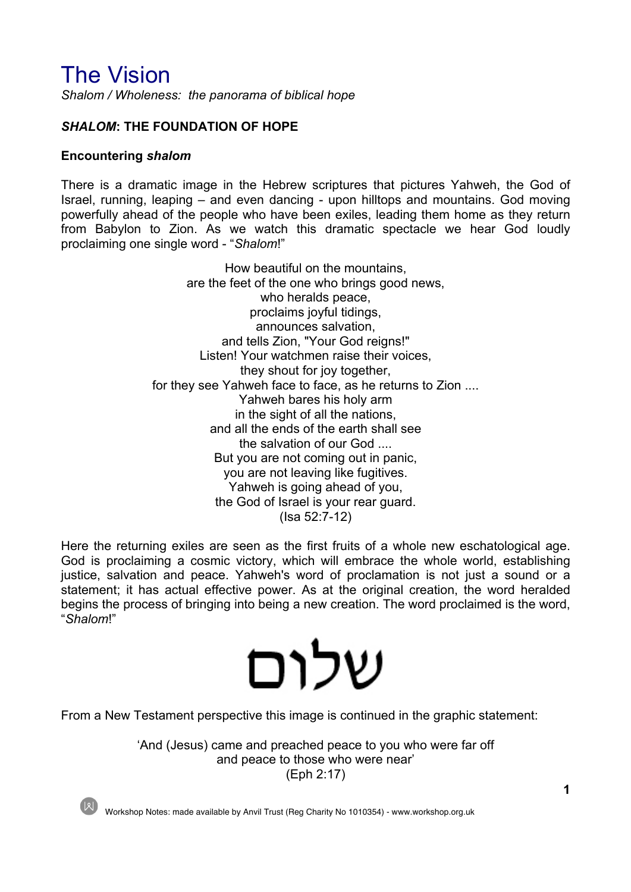# The Vision

*Shalom / Wholeness: the panorama of biblical hope*

# *SHALOM***: THE FOUNDATION OF HOPE**

#### **Encountering** *shalom*

There is a dramatic image in the Hebrew scriptures that pictures Yahweh, the God of Israel, running, leaping – and even dancing - upon hilltops and mountains. God moving powerfully ahead of the people who have been exiles, leading them home as they return from Babylon to Zion. As we watch this dramatic spectacle we hear God loudly proclaiming one single word - "*Shalom*!"

> How beautiful on the mountains, are the feet of the one who brings good news, who heralds peace, proclaims joyful tidings, announces salvation, and tells Zion, "Your God reigns!" Listen! Your watchmen raise their voices, they shout for joy together, for they see Yahweh face to face, as he returns to Zion .... Yahweh bares his holy arm in the sight of all the nations, and all the ends of the earth shall see the salvation of our God .... But you are not coming out in panic, you are not leaving like fugitives. Yahweh is going ahead of you, the God of Israel is your rear guard. (Isa 52:7-12)

Here the returning exiles are seen as the first fruits of a whole new eschatological age. God is proclaiming a cosmic victory, which will embrace the whole world, establishing justice, salvation and peace. Yahweh's word of proclamation is not just a sound or a statement; it has actual effective power. As at the original creation, the word heralded begins the process of bringing into being a new creation. The word proclaimed is the word, "*Shalom*!"

# שלום

From a New Testament perspective this image is continued in the graphic statement:

'And (Jesus) came and preached peace to you who were far off and peace to those who were near' (Eph 2:17)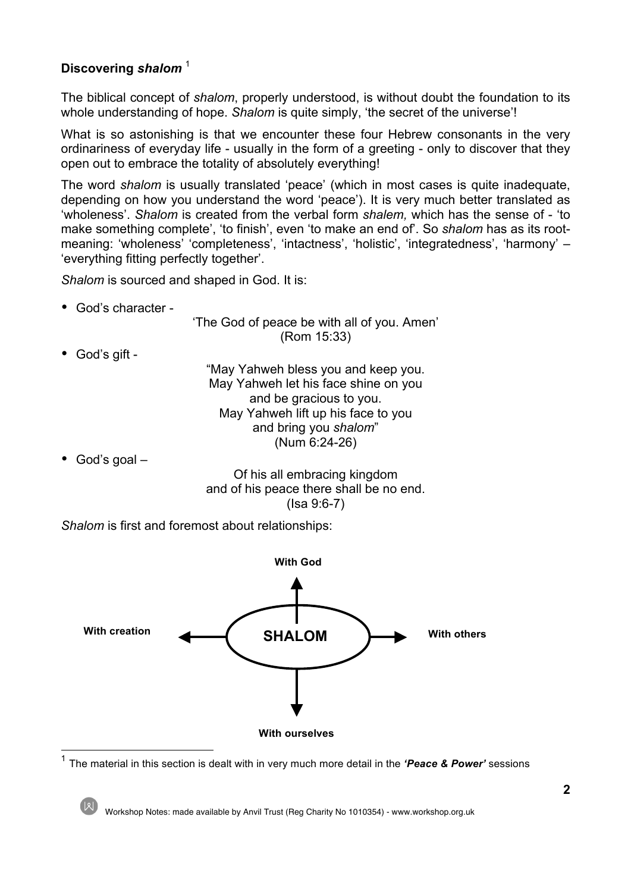# **Discovering** *shalom* <sup>1</sup>

The biblical concept of *shalom*, properly understood, is without doubt the foundation to its whole understanding of hope. *Shalom* is quite simply, 'the secret of the universe'!

What is so astonishing is that we encounter these four Hebrew consonants in the very ordinariness of everyday life - usually in the form of a greeting - only to discover that they open out to embrace the totality of absolutely everything!

The word *shalom* is usually translated 'peace' (which in most cases is quite inadequate, depending on how you understand the word 'peace'). It is very much better translated as 'wholeness'. *Shalom* is created from the verbal form *shalem,* which has the sense of - 'to make something complete', 'to finish', even 'to make an end of'. So *shalom* has as its rootmeaning: 'wholeness' 'completeness', 'intactness', 'holistic', 'integratedness', 'harmony' – 'everything fitting perfectly together'.

*Shalom* is sourced and shaped in God. It is:

• God's character -

'The God of peace be with all of you. Amen' (Rom 15:33)

• God's gift -

"May Yahweh bless you and keep you. May Yahweh let his face shine on you and be gracious to you. May Yahweh lift up his face to you and bring you *shalom*" (Num 6:24-26)

• God's goal –

Of his all embracing kingdom and of his peace there shall be no end. (Isa 9:6-7)

*Shalom* is first and foremost about relationships:



<sup>1</sup> The material in this section is dealt with in very much more detail in the *'Peace & Power'* sessions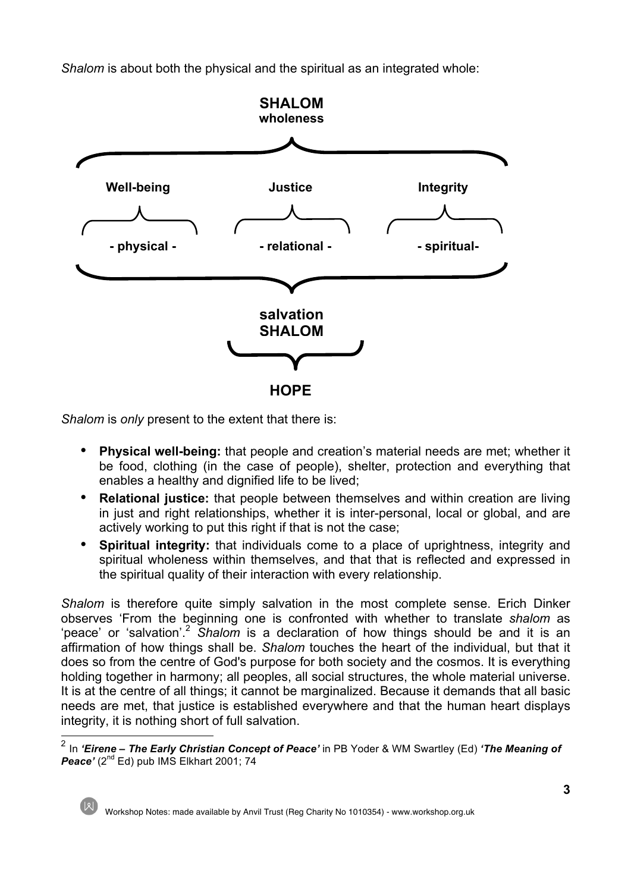*Shalom* is about both the physical and the spiritual as an integrated whole:



*Shalom* is *only* present to the extent that there is:

- **Physical well-being:** that people and creation's material needs are met; whether it be food, clothing (in the case of people), shelter, protection and everything that enables a healthy and dignified life to be lived;
- **Relational justice:** that people between themselves and within creation are living in just and right relationships, whether it is inter-personal, local or global, and are actively working to put this right if that is not the case;
- **Spiritual integrity:** that individuals come to a place of uprightness, integrity and spiritual wholeness within themselves, and that that is reflected and expressed in the spiritual quality of their interaction with every relationship.

*Shalom* is therefore quite simply salvation in the most complete sense. Erich Dinker observes 'From the beginning one is confronted with whether to translate *shalom* as 'peace' or 'salvation'.<sup>2</sup> *Shalom* is a declaration of how things should be and it is an affirmation of how things shall be. *Shalom* touches the heart of the individual, but that it does so from the centre of God's purpose for both society and the cosmos. It is everything holding together in harmony; all peoples, all social structures, the whole material universe. It is at the centre of all things; it cannot be marginalized. Because it demands that all basic needs are met, that justice is established everywhere and that the human heart displays integrity, it is nothing short of full salvation.

 <sup>2</sup> In *'Eirene – The Early Christian Concept of Peace'* in PB Yoder & WM Swartley (Ed) *'The Meaning of*  **Peace'** (2<sup>nd</sup> Ed) pub IMS Elkhart 2001; 74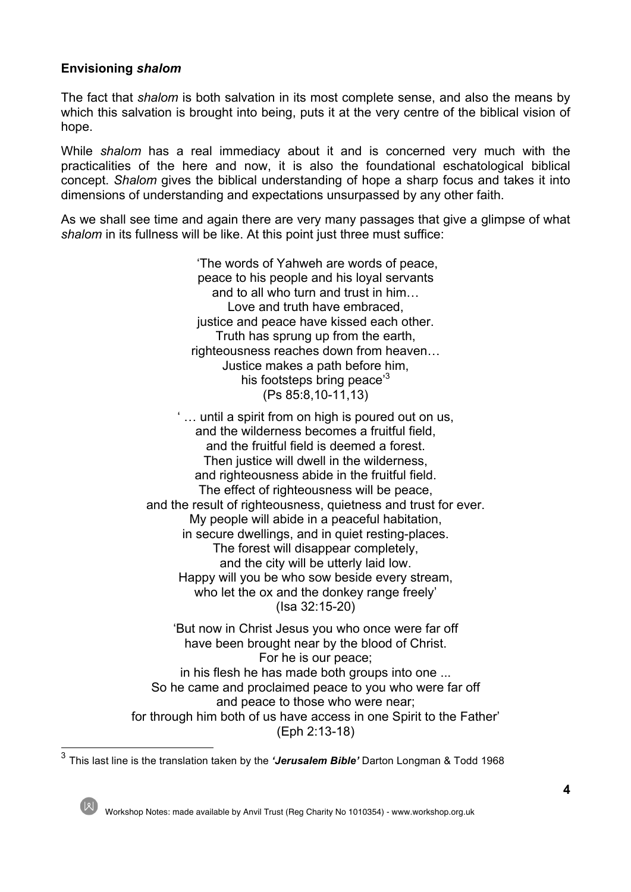## **Envisioning** *shalom*

The fact that *shalom* is both salvation in its most complete sense, and also the means by which this salvation is brought into being, puts it at the very centre of the biblical vision of hope.

While *shalom* has a real immediacy about it and is concerned very much with the practicalities of the here and now, it is also the foundational eschatological biblical concept. *Shalom* gives the biblical understanding of hope a sharp focus and takes it into dimensions of understanding and expectations unsurpassed by any other faith.

As we shall see time and again there are very many passages that give a glimpse of what *shalom* in its fullness will be like. At this point just three must suffice:

> 'The words of Yahweh are words of peace, peace to his people and his loyal servants and to all who turn and trust in him… Love and truth have embraced, justice and peace have kissed each other. Truth has sprung up from the earth, righteousness reaches down from heaven… Justice makes a path before him, his footsteps bring peace<sup>3</sup> (Ps 85:8,10-11,13)

' … until a spirit from on high is poured out on us, and the wilderness becomes a fruitful field, and the fruitful field is deemed a forest. Then justice will dwell in the wilderness. and righteousness abide in the fruitful field. The effect of righteousness will be peace, and the result of righteousness, quietness and trust for ever. My people will abide in a peaceful habitation, in secure dwellings, and in quiet resting-places. The forest will disappear completely, and the city will be utterly laid low. Happy will you be who sow beside every stream, who let the ox and the donkey range freely' (Isa 32:15-20)

'But now in Christ Jesus you who once were far off have been brought near by the blood of Christ. For he is our peace; in his flesh he has made both groups into one ... So he came and proclaimed peace to you who were far off and peace to those who were near; for through him both of us have access in one Spirit to the Father' (Eph 2:13-18)

<sup>3</sup> This last line is the translation taken by the *'Jerusalem Bible'* Darton Longman & Todd 1968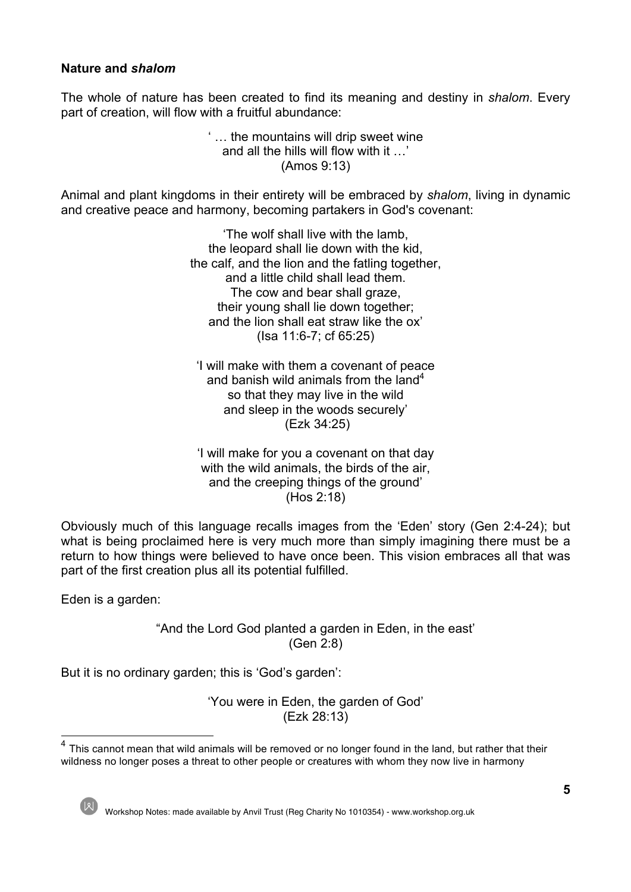## **Nature and** *shalom*

The whole of nature has been created to find its meaning and destiny in *shalom*. Every part of creation, will flow with a fruitful abundance:

> ' … the mountains will drip sweet wine and all the hills will flow with it …' (Amos 9:13)

Animal and plant kingdoms in their entirety will be embraced by *shalom*, living in dynamic and creative peace and harmony, becoming partakers in God's covenant:

> 'The wolf shall live with the lamb, the leopard shall lie down with the kid, the calf, and the lion and the fatling together, and a little child shall lead them. The cow and bear shall graze, their young shall lie down together; and the lion shall eat straw like the ox' (Isa 11:6-7; cf 65:25)

'I will make with them a covenant of peace and banish wild animals from the land<sup>4</sup> so that they may live in the wild and sleep in the woods securely' (Ezk 34:25)

'I will make for you a covenant on that day with the wild animals, the birds of the air, and the creeping things of the ground' (Hos 2:18)

Obviously much of this language recalls images from the 'Eden' story (Gen 2:4-24); but what is being proclaimed here is very much more than simply imagining there must be a return to how things were believed to have once been. This vision embraces all that was part of the first creation plus all its potential fulfilled.

Eden is a garden:

"And the Lord God planted a garden in Eden, in the east' (Gen 2:8)

But it is no ordinary garden; this is 'God's garden':

'You were in Eden, the garden of God' (Ezk 28:13)

 $4$  This cannot mean that wild animals will be removed or no longer found in the land, but rather that their wildness no longer poses a threat to other people or creatures with whom they now live in harmony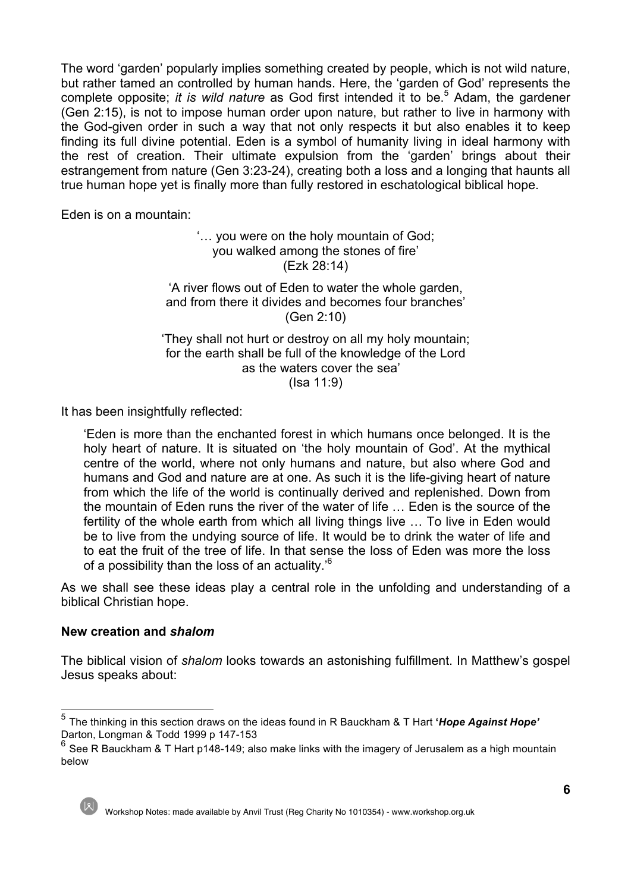The word 'garden' popularly implies something created by people, which is not wild nature, but rather tamed an controlled by human hands. Here, the 'garden of God' represents the complete opposite; *it is wild nature* as God first intended it to be.<sup>5</sup> Adam, the gardener (Gen 2:15), is not to impose human order upon nature, but rather to live in harmony with the God-given order in such a way that not only respects it but also enables it to keep finding its full divine potential. Eden is a symbol of humanity living in ideal harmony with the rest of creation. Their ultimate expulsion from the 'garden' brings about their estrangement from nature (Gen 3:23-24), creating both a loss and a longing that haunts all true human hope yet is finally more than fully restored in eschatological biblical hope.

Eden is on a mountain:

'… you were on the holy mountain of God; you walked among the stones of fire' (Ezk 28:14)

'A river flows out of Eden to water the whole garden, and from there it divides and becomes four branches' (Gen 2:10)

'They shall not hurt or destroy on all my holy mountain; for the earth shall be full of the knowledge of the Lord as the waters cover the sea' (Isa 11:9)

It has been insightfully reflected:

'Eden is more than the enchanted forest in which humans once belonged. It is the holy heart of nature. It is situated on 'the holy mountain of God'. At the mythical centre of the world, where not only humans and nature, but also where God and humans and God and nature are at one. As such it is the life-giving heart of nature from which the life of the world is continually derived and replenished. Down from the mountain of Eden runs the river of the water of life … Eden is the source of the fertility of the whole earth from which all living things live … To live in Eden would be to live from the undying source of life. It would be to drink the water of life and to eat the fruit of the tree of life. In that sense the loss of Eden was more the loss of a possibility than the loss of an actuality.'<sup>6</sup>

As we shall see these ideas play a central role in the unfolding and understanding of a biblical Christian hope.

#### **New creation and** *shalom*

The biblical vision of *shalom* looks towards an astonishing fulfillment. In Matthew's gospel Jesus speaks about:

 $^6$  See R Bauckham & T Hart p148-149; also make links with the imagery of Jerusalem as a high mountain below



<sup>5</sup> The thinking in this section draws on the ideas found in R Bauckham & T Hart **'***Hope Against Hope'* Darton, Longman & Todd 1999 p 147-153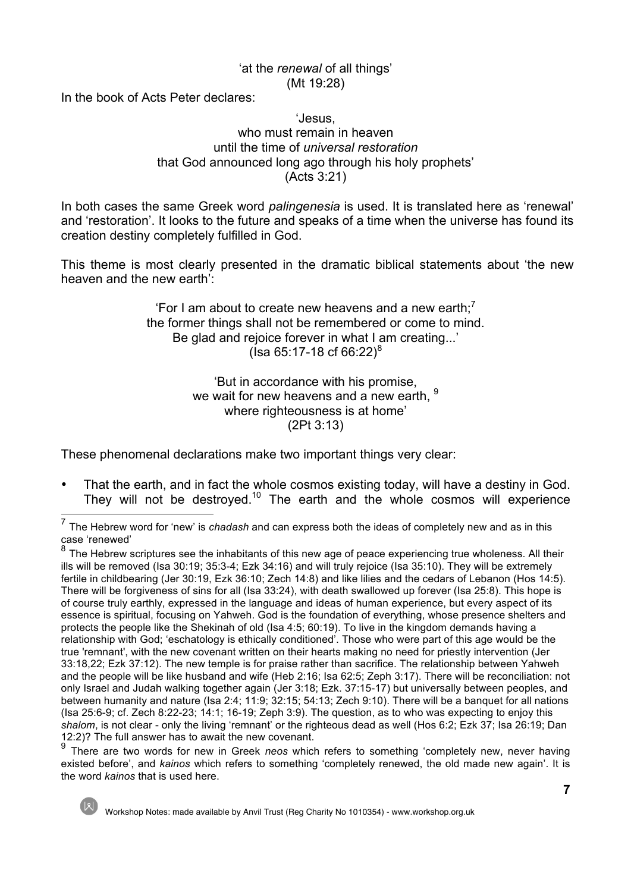#### 'at the *renewal* of all things' (Mt 19:28)

In the book of Acts Peter declares:

#### 'Jesus, who must remain in heaven until the time of *universal restoration* that God announced long ago through his holy prophets' (Acts 3:21)

In both cases the same Greek word *palingenesia* is used. It is translated here as 'renewal' and 'restoration'. It looks to the future and speaks of a time when the universe has found its creation destiny completely fulfilled in God.

This theme is most clearly presented in the dramatic biblical statements about 'the new heaven and the new earth':

> 'For I am about to create new heavens and a new earth: $<sup>7</sup>$ </sup> the former things shall not be remembered or come to mind. Be glad and rejoice forever in what I am creating...' ( $\text{Isa } 65:17 - 18 \text{ cf } 66:22\text{)}^8$

> > 'But in accordance with his promise, we wait for new heavens and a new earth, <sup>9</sup> where righteousness is at home' (2Pt 3:13)

These phenomenal declarations make two important things very clear:

• That the earth, and in fact the whole cosmos existing today, will have a destiny in God.<br>They will not be destroved.<sup>10</sup> The earth and the whole cosmos will experience

<sup>&</sup>lt;sup>7</sup> The Hebrew word for 'new' is *chadash* and can express both the ideas of completely new and as in this case 'renewed'

 $8$  The Hebrew scriptures see the inhabitants of this new age of peace experiencing true wholeness. All their ills will be removed (Isa 30:19; 35:3-4; Ezk 34:16) and will truly rejoice (Isa 35:10). They will be extremely fertile in childbearing (Jer 30:19, Ezk 36:10; Zech 14:8) and like lilies and the cedars of Lebanon (Hos 14:5). There will be forgiveness of sins for all (Isa 33:24), with death swallowed up forever (Isa 25:8). This hope is of course truly earthly, expressed in the language and ideas of human experience, but every aspect of its essence is spiritual, focusing on Yahweh. God is the foundation of everything, whose presence shelters and protects the people like the Shekinah of old (Isa 4:5; 60:19). To live in the kingdom demands having a relationship with God; 'eschatology is ethically conditioned'. Those who were part of this age would be the true 'remnant', with the new covenant written on their hearts making no need for priestly intervention (Jer 33:18,22; Ezk 37:12). The new temple is for praise rather than sacrifice. The relationship between Yahweh and the people will be like husband and wife (Heb 2:16; Isa 62:5; Zeph 3:17). There will be reconciliation: not only Israel and Judah walking together again (Jer 3:18; Ezk. 37:15-17) but universally between peoples, and between humanity and nature (Isa 2:4; 11:9; 32:15; 54:13; Zech 9:10). There will be a banquet for all nations (Isa 25:6-9; cf. Zech 8:22-23; 14:1; 16-19; Zeph 3:9). The question, as to who was expecting to enjoy this *shalom*, is not clear - only the living 'remnant' or the righteous dead as well (Hos 6:2; Ezk 37; Isa 26:19; Dan 12:2)? The full answer has to await the new covenant.

<sup>9</sup> There are two words for new in Greek *neos* which refers to something 'completely new, never having existed before', and *kainos* which refers to something 'completely renewed, the old made new again'. It is the word *kainos* that is used here.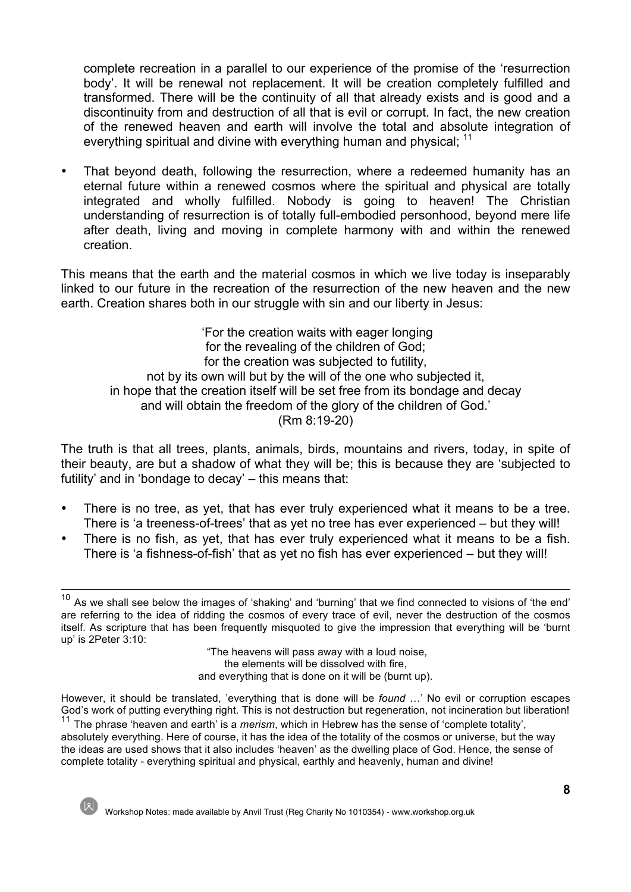complete recreation in a parallel to our experience of the promise of the 'resurrection body'. It will be renewal not replacement. It will be creation completely fulfilled and transformed. There will be the continuity of all that already exists and is good and a discontinuity from and destruction of all that is evil or corrupt. In fact, the new creation of the renewed heaven and earth will involve the total and absolute integration of everything spiritual and divine with everything human and physical; <sup>11</sup>

• That beyond death, following the resurrection, where a redeemed humanity has an eternal future within a renewed cosmos where the spiritual and physical are totally integrated and wholly fulfilled. Nobody is going to heaven! The Christian understanding of resurrection is of totally full-embodied personhood, beyond mere life after death, living and moving in complete harmony with and within the renewed creation.

This means that the earth and the material cosmos in which we live today is inseparably linked to our future in the recreation of the resurrection of the new heaven and the new earth. Creation shares both in our struggle with sin and our liberty in Jesus:

'For the creation waits with eager longing for the revealing of the children of God; for the creation was subjected to futility, not by its own will but by the will of the one who subjected it, in hope that the creation itself will be set free from its bondage and decay and will obtain the freedom of the glory of the children of God.' (Rm 8:19-20)

The truth is that all trees, plants, animals, birds, mountains and rivers, today, in spite of their beauty, are but a shadow of what they will be; this is because they are 'subjected to futility' and in 'bondage to decay' – this means that:

- There is no tree, as yet, that has ever truly experienced what it means to be a tree. There is 'a treeness-of-trees' that as yet no tree has ever experienced – but they will!
- There is no fish, as yet, that has ever truly experienced what it means to be a fish. There is 'a fishness-of-fish' that as yet no fish has ever experienced – but they will!

"The heavens will pass away with a loud noise, the elements will be dissolved with fire, and everything that is done on it will be (burnt up).

However, it should be translated, 'everything that is done will be *found* …' No evil or corruption escapes God's work of putting everything right. This is not destruction but regeneration, not incineration but liberation! <sup>11</sup> The phrase 'heaven and earth' is a *merism*, which in Hebrew has the sense of 'complete totality',

absolutely everything. Here of course, it has the idea of the totality of the cosmos or universe, but the way the ideas are used shows that it also includes 'heaven' as the dwelling place of God. Hence, the sense of complete totality - everything spiritual and physical, earthly and heavenly, human and divine!

 $10$  As we shall see below the images of 'shaking' and 'burning' that we find connected to visions of 'the end' are referring to the idea of ridding the cosmos of every trace of evil, never the destruction of the cosmos itself. As scripture that has been frequently misquoted to give the impression that everything will be 'burnt up' is 2Peter 3:10: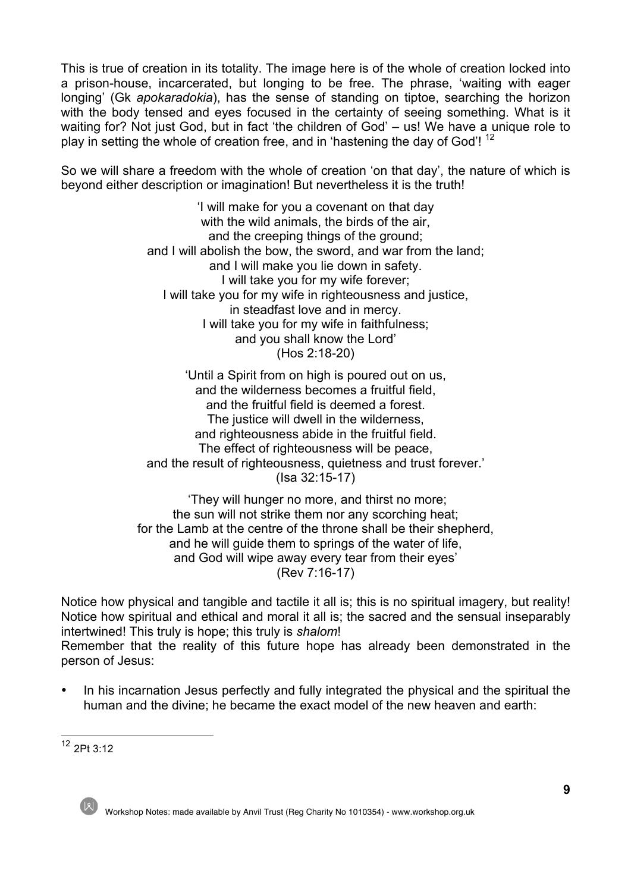This is true of creation in its totality. The image here is of the whole of creation locked into a prison-house, incarcerated, but longing to be free. The phrase, 'waiting with eager longing' (Gk *apokaradokia*), has the sense of standing on tiptoe, searching the horizon with the body tensed and eyes focused in the certainty of seeing something. What is it waiting for? Not just God, but in fact 'the children of God' – us! We have a unique role to play in setting the whole of creation free, and in 'hastening the day of God'!  $^{12}$ 

So we will share a freedom with the whole of creation 'on that day', the nature of which is beyond either description or imagination! But nevertheless it is the truth!

> 'I will make for you a covenant on that day with the wild animals, the birds of the air, and the creeping things of the ground; and I will abolish the bow, the sword, and war from the land; and I will make you lie down in safety. I will take you for my wife forever; I will take you for my wife in righteousness and justice, in steadfast love and in mercy. I will take you for my wife in faithfulness; and you shall know the Lord' (Hos 2:18-20)

> 'Until a Spirit from on high is poured out on us, and the wilderness becomes a fruitful field, and the fruitful field is deemed a forest. The justice will dwell in the wilderness, and righteousness abide in the fruitful field. The effect of righteousness will be peace, and the result of righteousness, quietness and trust forever.' (Isa 32:15-17)

'They will hunger no more, and thirst no more; the sun will not strike them nor any scorching heat; for the Lamb at the centre of the throne shall be their shepherd, and he will quide them to springs of the water of life. and God will wipe away every tear from their eyes' (Rev 7:16-17)

Notice how physical and tangible and tactile it all is; this is no spiritual imagery, but reality! Notice how spiritual and ethical and moral it all is; the sacred and the sensual inseparably intertwined! This truly is hope; this truly is *shalom*! Remember that the reality of this future hope has already been demonstrated in the person of Jesus:

• In his incarnation Jesus perfectly and fully integrated the physical and the spiritual the human and the divine; he became the exact model of the new heaven and earth:

<sup>12</sup> 2Pt 3:12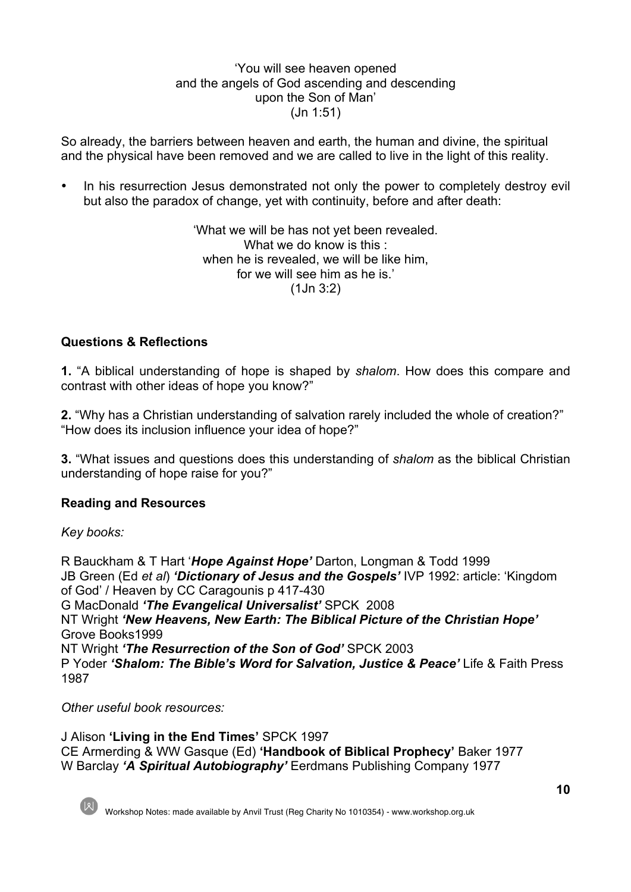#### 'You will see heaven opened and the angels of God ascending and descending upon the Son of Man' (Jn 1:51)

So already, the barriers between heaven and earth, the human and divine, the spiritual and the physical have been removed and we are called to live in the light of this reality.

• In his resurrection Jesus demonstrated not only the power to completely destroy evil but also the paradox of change, yet with continuity, before and after death:

> 'What we will be has not yet been revealed. What we do know is this : when he is revealed, we will be like him. for we will see him as he is.' (1Jn 3:2)

#### **Questions & Reflections**

**1.** "A biblical understanding of hope is shaped by *shalom*. How does this compare and contrast with other ideas of hope you know?"

**2.** "Why has a Christian understanding of salvation rarely included the whole of creation?" "How does its inclusion influence your idea of hope?"

**3.** "What issues and questions does this understanding of *shalom* as the biblical Christian understanding of hope raise for you?"

#### **Reading and Resources**

*Key books:*

R Bauckham & T Hart '*Hope Against Hope'* Darton, Longman & Todd 1999 JB Green (Ed *et al*) *'Dictionary of Jesus and the Gospels'* IVP 1992: article: 'Kingdom of God' / Heaven by CC Caragounis p 417-430 G MacDonald *'The Evangelical Universalist'* SPCK 2008 NT Wright *'New Heavens, New Earth: The Biblical Picture of the Christian Hope'* Grove Books1999 NT Wright *'The Resurrection of the Son of God'* SPCK 2003 P Yoder *'Shalom: The Bible's Word for Salvation, Justice & Peace'* Life & Faith Press 1987

*Other useful book resources:*

J Alison **'Living in the End Times'** SPCK 1997 CE Armerding & WW Gasque (Ed) **'Handbook of Biblical Prophecy'** Baker 1977 W Barclay *'A Spiritual Autobiography'* Eerdmans Publishing Company 1977



**10**